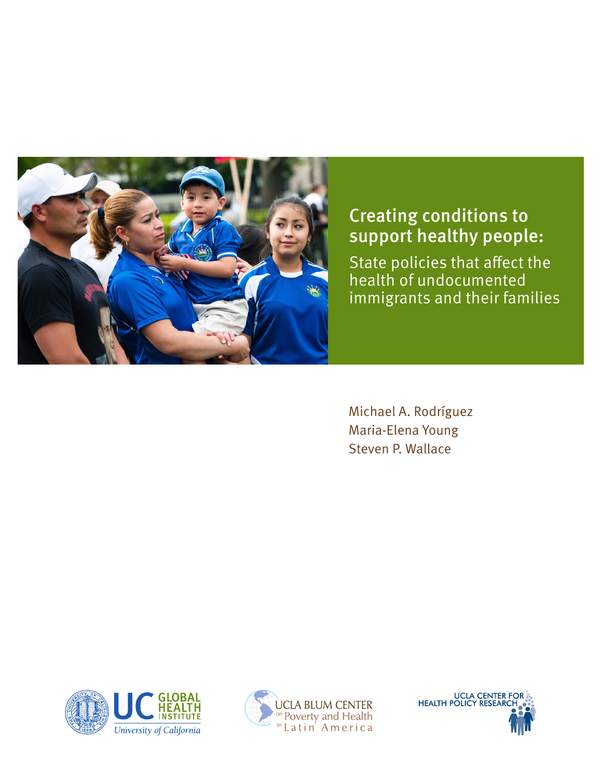

## Creating conditions to support healthy people:

State policies that affect the health of undocumented immigrants and their families

Michael A. Rodríguez Maria-Elena Young Steven P. Wallace





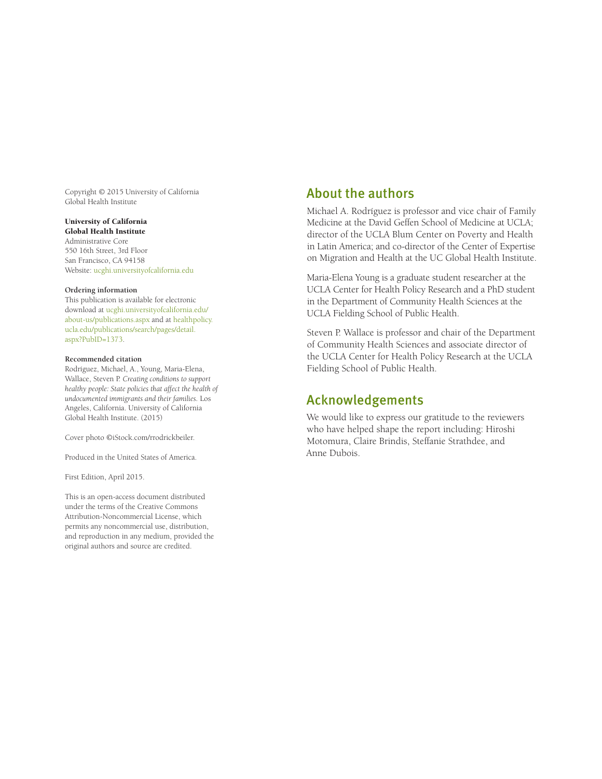Copyright © 2015 University of California Global Health Institute

#### University of California Global Health Institute

Administrative Core 550 16th Street, 3rd Floor San Francisco, CA 94158 Website: [ucghi.universityofcalifornia.edu](http://ucghi.universityofcalifornia.edu)

#### **Ordering information**

This publication is available for electronic download at [ucghi.universityofcalifornia.edu/](http://ucghi.universityofcalifornia.edu/about-us/publications.aspx) [about-us/publications.aspx](http://ucghi.universityofcalifornia.edu/about-us/publications.aspx) and at [healthpolicy.](http://healthpolicy.ucla.edu/publications/search/pages/detail.aspx?PubID=1373) [ucla.edu/publications/search/pages/detail.](http://healthpolicy.ucla.edu/publications/search/pages/detail.aspx?PubID=1373) [aspx?PubID=1373.](http://healthpolicy.ucla.edu/publications/search/pages/detail.aspx?PubID=1373)

#### **Recommended citation**

Rodríguez, Michael, A., Young, Maria-Elena, Wallace, Steven P. *Creating conditions to support healthy people: State policies that affect the health of undocumented immigrants and their families.* Los Angeles, California. University of California Global Health Institute. (2015)

Cover photo ©iStock.com/rrodrickbeiler.

Produced in the United States of America.

First Edition, April 2015.

This is an open-access document distributed under the terms of the Creative Commons Attribution-Noncommercial License, which permits any noncommercial use, distribution, and reproduction in any medium, provided the original authors and source are credited.

### About the authors

Michael A. Rodríguez is professor and vice chair of Family Medicine at the David Geffen School of Medicine at UCLA; director of the UCLA Blum Center on Poverty and Health in Latin America; and co-director of the Center of Expertise on Migration and Health at the UC Global Health Institute.

Maria-Elena Young is a graduate student researcher at the UCLA Center for Health Policy Research and a PhD student in the Department of Community Health Sciences at the UCLA Fielding School of Public Health.

Steven P. Wallace is professor and chair of the Department of Community Health Sciences and associate director of the UCLA Center for Health Policy Research at the UCLA Fielding School of Public Health.

### Acknowledgements

We would like to express our gratitude to the reviewers who have helped shape the report including: Hiroshi Motomura, Claire Brindis, Steffanie Strathdee, and Anne Dubois.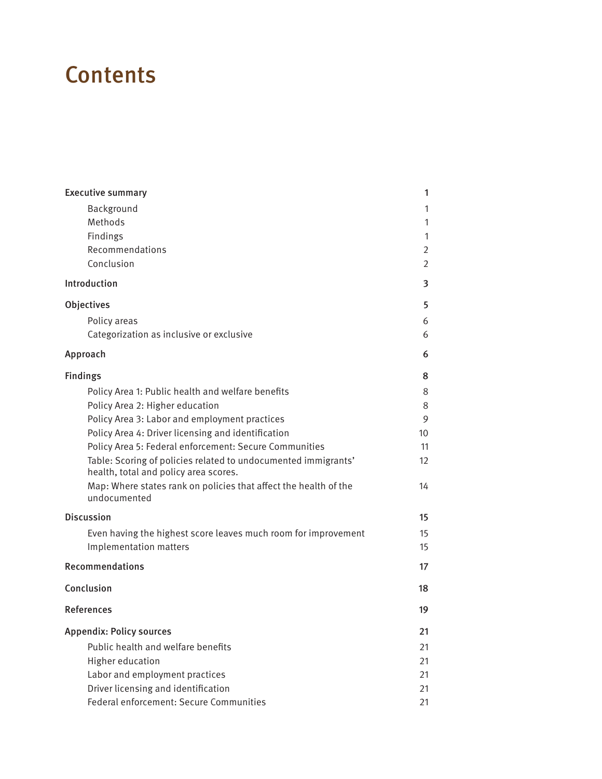# **Contents**

| <b>Executive summary</b>                                                                                | 1              |
|---------------------------------------------------------------------------------------------------------|----------------|
| Background                                                                                              | 1              |
| Methods                                                                                                 | 1              |
| Findings                                                                                                | 1              |
| Recommendations                                                                                         | 2              |
| Conclusion                                                                                              | $\overline{2}$ |
| Introduction                                                                                            | 3              |
| Objectives                                                                                              | 5              |
| Policy areas                                                                                            | 6              |
| Categorization as inclusive or exclusive                                                                | 6              |
| Approach                                                                                                | 6              |
| <b>Findings</b>                                                                                         | 8              |
| Policy Area 1: Public health and welfare benefits                                                       | 8              |
| Policy Area 2: Higher education                                                                         | 8              |
| Policy Area 3: Labor and employment practices                                                           | 9              |
| Policy Area 4: Driver licensing and identification                                                      | 10             |
| Policy Area 5: Federal enforcement: Secure Communities                                                  | 11             |
| Table: Scoring of policies related to undocumented immigrants'<br>health, total and policy area scores. | 12             |
| Map: Where states rank on policies that affect the health of the<br>undocumented                        | 14             |
| <b>Discussion</b>                                                                                       | 15             |
| Even having the highest score leaves much room for improvement<br>Implementation matters                | 15<br>15       |
| <b>Recommendations</b>                                                                                  | 17             |
| Conclusion                                                                                              | 18             |
| References                                                                                              | 19             |
| <b>Appendix: Policy sources</b>                                                                         | 21             |
| Public health and welfare benefits                                                                      | 21             |
| Higher education                                                                                        | 21             |
| Labor and employment practices                                                                          | 21             |
| Driver licensing and identification                                                                     | 21             |
| Federal enforcement: Secure Communities                                                                 | 21             |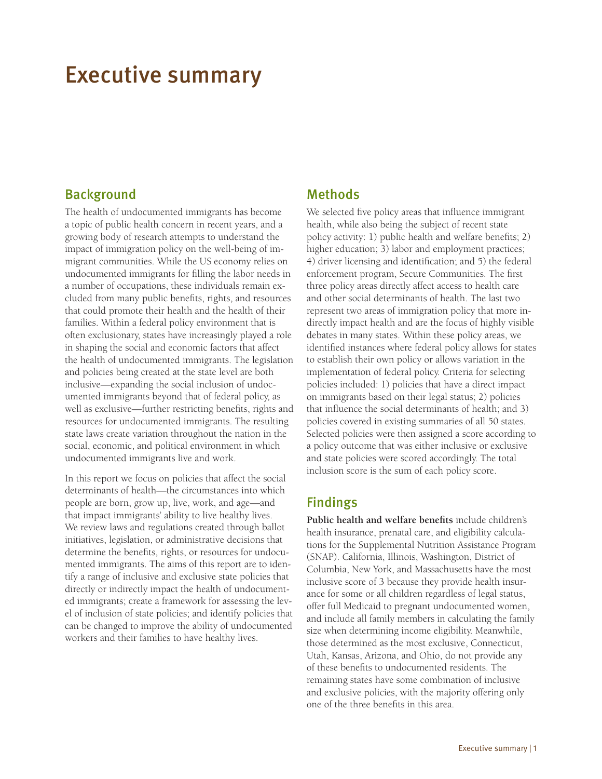## <span id="page-3-0"></span>Executive summary

## **Background**

The health of undocumented immigrants has become a topic of public health concern in recent years, and a growing body of research attempts to understand the impact of immigration policy on the well-being of immigrant communities. While the US economy relies on undocumented immigrants for filling the labor needs in a number of occupations, these individuals remain excluded from many public benefits, rights, and resources that could promote their health and the health of their families. Within a federal policy environment that is often exclusionary, states have increasingly played a role in shaping the social and economic factors that affect the health of undocumented immigrants. The legislation and policies being created at the state level are both inclusive—expanding the social inclusion of undocumented immigrants beyond that of federal policy, as well as exclusive—further restricting benefits, rights and resources for undocumented immigrants. The resulting state laws create variation throughout the nation in the social, economic, and political environment in which undocumented immigrants live and work.

In this report we focus on policies that affect the social determinants of health—the circumstances into which people are born, grow up, live, work, and age—and that impact immigrants' ability to live healthy lives. We review laws and regulations created through ballot initiatives, legislation, or administrative decisions that determine the benefits, rights, or resources for undocumented immigrants. The aims of this report are to identify a range of inclusive and exclusive state policies that directly or indirectly impact the health of undocumented immigrants; create a framework for assessing the level of inclusion of state policies; and identify policies that can be changed to improve the ability of undocumented workers and their families to have healthy lives.

## Methods

We selected five policy areas that influence immigrant health, while also being the subject of recent state policy activity: 1) public health and welfare benefits; 2) higher education; 3) labor and employment practices; 4) driver licensing and identification; and 5) the federal enforcement program, Secure Communities. The first three policy areas directly affect access to health care and other social determinants of health. The last two represent two areas of immigration policy that more indirectly impact health and are the focus of highly visible debates in many states. Within these policy areas, we identified instances where federal policy allows for states to establish their own policy or allows variation in the implementation of federal policy. Criteria for selecting policies included: 1) policies that have a direct impact on immigrants based on their legal status; 2) policies that influence the social determinants of health; and 3) policies covered in existing summaries of all 50 states. Selected policies were then assigned a score according to a policy outcome that was either inclusive or exclusive and state policies were scored accordingly. The total inclusion score is the sum of each policy score.

## Findings

**Public health and welfare benefits** include children's health insurance, prenatal care, and eligibility calculations for the Supplemental Nutrition Assistance Program (SNAP). California, Illinois, Washington, District of Columbia, New York, and Massachusetts have the most inclusive score of 3 because they provide health insurance for some or all children regardless of legal status, offer full Medicaid to pregnant undocumented women, and include all family members in calculating the family size when determining income eligibility. Meanwhile, those determined as the most exclusive, Connecticut, Utah, Kansas, Arizona, and Ohio, do not provide any of these benefits to undocumented residents. The remaining states have some combination of inclusive and exclusive policies, with the majority offering only one of the three benefits in this area.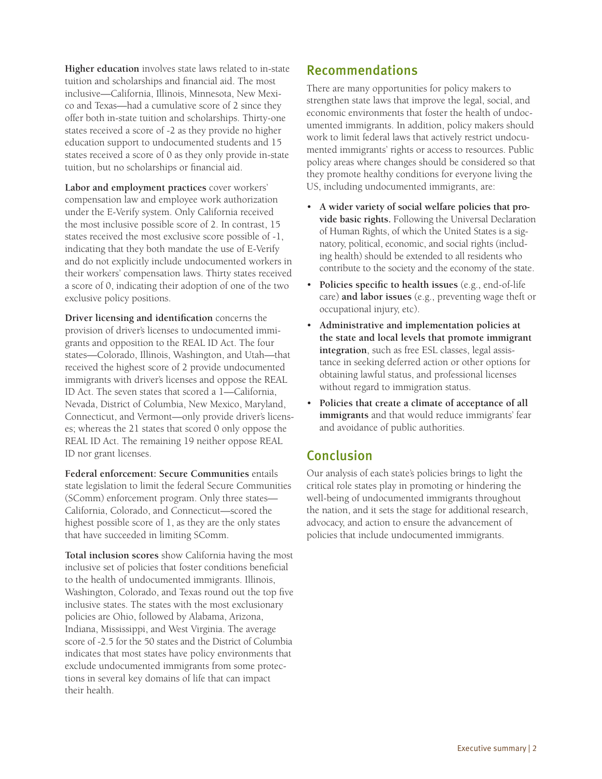<span id="page-4-0"></span>**Higher education** involves state laws related to in-state tuition and scholarships and financial aid. The most inclusive—California, Illinois, Minnesota, New Mexico and Texas—had a cumulative score of 2 since they offer both in-state tuition and scholarships. Thirty-one states received a score of -2 as they provide no higher education support to undocumented students and 15 states received a score of 0 as they only provide in-state tuition, but no scholarships or financial aid.

**Labor and employment practices** cover workers' compensation law and employee work authorization under the E-Verify system. Only California received the most inclusive possible score of 2. In contrast, 15 states received the most exclusive score possible of -1, indicating that they both mandate the use of E-Verify and do not explicitly include undocumented workers in their workers' compensation laws. Thirty states received a score of 0, indicating their adoption of one of the two exclusive policy positions.

**Driver licensing and identification** concerns the provision of driver's licenses to undocumented immigrants and opposition to the REAL ID Act. The four states—Colorado, Illinois, Washington, and Utah—that received the highest score of 2 provide undocumented immigrants with driver's licenses and oppose the REAL ID Act. The seven states that scored a 1—California, Nevada, District of Columbia, New Mexico, Maryland, Connecticut, and Vermont—only provide driver's licenses; whereas the 21 states that scored 0 only oppose the REAL ID Act. The remaining 19 neither oppose REAL ID nor grant licenses.

**Federal enforcement: Secure Communities** entails state legislation to limit the federal Secure Communities (SComm) enforcement program. Only three states— California, Colorado, and Connecticut—scored the highest possible score of 1, as they are the only states that have succeeded in limiting SComm.

**Total inclusion scores** show California having the most inclusive set of policies that foster conditions beneficial to the health of undocumented immigrants. Illinois, Washington, Colorado, and Texas round out the top five inclusive states. The states with the most exclusionary policies are Ohio, followed by Alabama, Arizona, Indiana, Mississippi, and West Virginia. The average score of -2.5 for the 50 states and the District of Columbia indicates that most states have policy environments that exclude undocumented immigrants from some protections in several key domains of life that can impact their health.

## Recommendations

There are many opportunities for policy makers to strengthen state laws that improve the legal, social, and economic environments that foster the health of undocumented immigrants. In addition, policy makers should work to limit federal laws that actively restrict undocumented immigrants' rights or access to resources. Public policy areas where changes should be considered so that they promote healthy conditions for everyone living the US, including undocumented immigrants, are:

- **A wider variety of social welfare policies that provide basic rights.** Following the Universal Declaration of Human Rights, of which the United States is a signatory, political, economic, and social rights (including health) should be extended to all residents who contribute to the society and the economy of the state.
- **Policies specific to health issues** (e.g., end-of-life care) **and labor issues** (e.g., preventing wage theft or occupational injury, etc).
- **Administrative and implementation policies at the state and local levels that promote immigrant integration**, such as free ESL classes, legal assistance in seeking deferred action or other options for obtaining lawful status, and professional licenses without regard to immigration status.
- **Policies that create a climate of acceptance of all immigrants** and that would reduce immigrants' fear and avoidance of public authorities.

## Conclusion

Our analysis of each state's policies brings to light the critical role states play in promoting or hindering the well-being of undocumented immigrants throughout the nation, and it sets the stage for additional research, advocacy, and action to ensure the advancement of policies that include undocumented immigrants.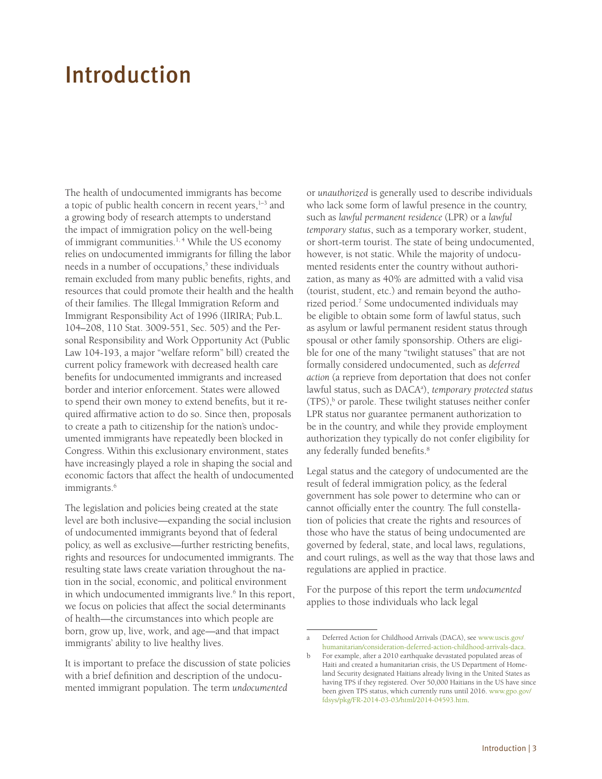# <span id="page-5-0"></span>Introduction

The health of undocumented immigrants has become a topic of public health concern in recent years, $1-3$  and a growing body of research attempts to understand the impact of immigration policy on the well-being of immigrant communities.<sup>1, 4</sup> While the US economy relies on undocumented immigrants for filling the labor needs in a number of occupations,<sup>5</sup> these individuals remain excluded from many public benefits, rights, and resources that could promote their health and the health of their families. The Illegal Immigration Reform and Immigrant Responsibility Act of 1996 (IIRIRA; Pub.L. 104–208, 110 Stat. 3009-551, Sec. 505) and the Personal Responsibility and Work Opportunity Act (Public Law 104-193, a major "welfare reform" bill) created the current policy framework with decreased health care benefits for undocumented immigrants and increased border and interior enforcement. States were allowed to spend their own money to extend benefits, but it required affirmative action to do so. Since then, proposals to create a path to citizenship for the nation's undocumented immigrants have repeatedly been blocked in Congress. Within this exclusionary environment, states have increasingly played a role in shaping the social and economic factors that affect the health of undocumented immigrants.<sup>6</sup>

The legislation and policies being created at the state level are both inclusive—expanding the social inclusion of undocumented immigrants beyond that of federal policy, as well as exclusive—further restricting benefits, rights and resources for undocumented immigrants. The resulting state laws create variation throughout the nation in the social, economic, and political environment in which undocumented immigrants live.<sup>6</sup> In this report, we focus on policies that affect the social determinants of health—the circumstances into which people are born, grow up, live, work, and age—and that impact immigrants' ability to live healthy lives.

It is important to preface the discussion of state policies with a brief definition and description of the undocumented immigrant population. The term *undocumented* 

or *unauthorized* is generally used to describe individuals who lack some form of lawful presence in the country, such as *lawful permanent residence* (LPR) or a *lawful temporary status*, such as a temporary worker, student, or short-term tourist. The state of being undocumented, however, is not static. While the majority of undocumented residents enter the country without authorization, as many as 40% are admitted with a valid visa (tourist, student, etc.) and remain beyond the authorized period.7 Some undocumented individuals may be eligible to obtain some form of lawful status, such as asylum or lawful permanent resident status through spousal or other family sponsorship. Others are eligible for one of the many "twilight statuses" that are not formally considered undocumented, such as *deferred action* (a reprieve from deportation that does not confer lawful status, such as DACAa ), *temporary protected status*  $(TPS)$ ,<sup>b</sup> or parole. These twilight statuses neither confer LPR status nor guarantee permanent authorization to be in the country, and while they provide employment authorization they typically do not confer eligibility for any federally funded benefits.<sup>8</sup>

Legal status and the category of undocumented are the result of federal immigration policy, as the federal government has sole power to determine who can or cannot officially enter the country. The full constellation of policies that create the rights and resources of those who have the status of being undocumented are governed by federal, state, and local laws, regulations, and court rulings, as well as the way that those laws and regulations are applied in practice.

For the purpose of this report the term *undocumented* applies to those individuals who lack legal

a Deferred Action for Childhood Arrivals (DACA), see [www.uscis.gov/](http://www.uscis.gov/humanitarian/consideration-deferred-action-childhood-arrivals-daca) [humanitarian/consideration-deferred-action-childhood-arrivals-daca](http://www.uscis.gov/humanitarian/consideration-deferred-action-childhood-arrivals-daca).

b For example, after a 2010 earthquake devastated populated areas of Haiti and created a humanitarian crisis, the US Department of Homeland Security designated Haitians already living in the United States as having TPS if they registered. Over 50,000 Haitians in the US have since been given TPS status, which currently runs until 2016. [www.gpo.gov/](http://www.gpo.gov/fdsys/pkg/FR-2014-03-03/html/2014-04593.htm) [fdsys/pkg/FR-2014-03-03/html/2014-04593.htm.](http://www.gpo.gov/fdsys/pkg/FR-2014-03-03/html/2014-04593.htm)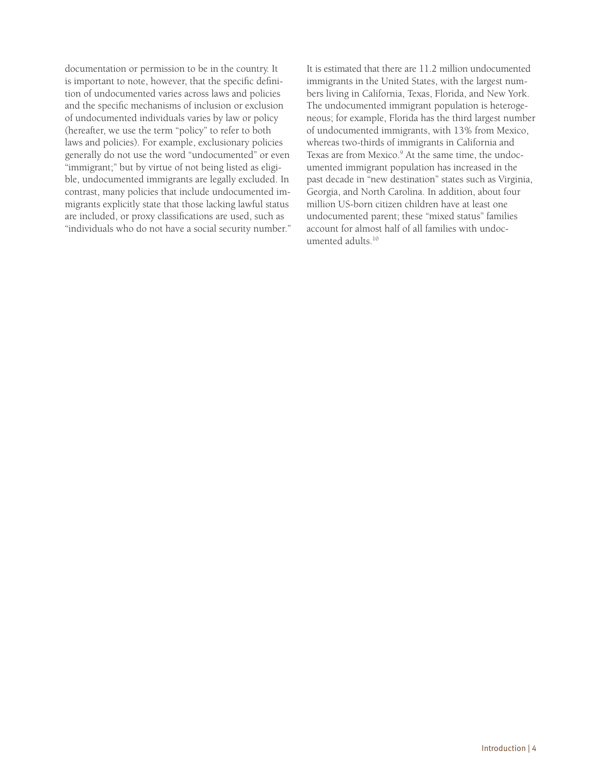documentation or permission to be in the country. It is important to note, however, that the specific definition of undocumented varies across laws and policies and the specific mechanisms of inclusion or exclusion of undocumented individuals varies by law or policy (hereafter, we use the term "policy" to refer to both laws and policies). For example, exclusionary policies generally do not use the word "undocumented" or even "immigrant;" but by virtue of not being listed as eligible, undocumented immigrants are legally excluded. In contrast, many policies that include undocumented immigrants explicitly state that those lacking lawful status are included, or proxy classifications are used, such as "individuals who do not have a social security number." It is estimated that there are 11.2 million undocumented immigrants in the United States, with the largest numbers living in California, Texas, Florida, and New York. The undocumented immigrant population is heterogeneous; for example, Florida has the third largest number of undocumented immigrants, with 13% from Mexico, whereas two-thirds of immigrants in California and Texas are from Mexico.<sup>9</sup> At the same time, the undocumented immigrant population has increased in the past decade in "new destination" states such as Virginia, Georgia, and North Carolina. In addition, about four million US-born citizen children have at least one undocumented parent; these "mixed status" families account for almost half of all families with undocumented adults.<sup>10</sup>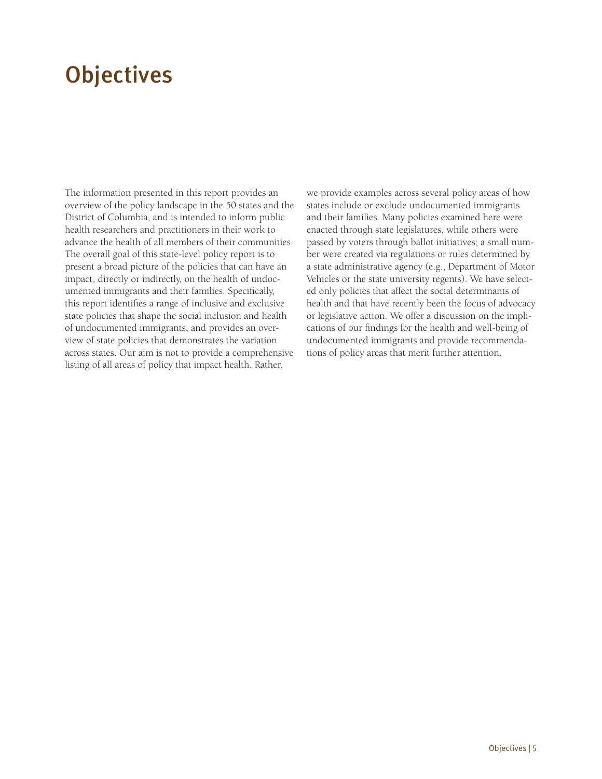# <span id="page-7-0"></span>**Objectives**

The information presented in this report provides an overview of the policy landscape in the 50 states and the District of Columbia, and is intended to inform public health researchers and practitioners in their work to advance the health of all members of their communities. The overall goal of this state-level policy report is to present a broad picture of the policies that can have an impact, directly or indirectly, on the health of undocumented immigrants and their families. Specifically, this report identifies a range of inclusive and exclusive state policies that shape the social inclusion and health of undocumented immigrants, and provides an overview of state policies that demonstrates the variation across states. Our aim is not to provide a comprehensive listing of all areas of policy that impact health. Rather,

we provide examples across several policy areas of how states include or exclude undocumented immigrants and their families. Many policies examined here were enacted through state legislatures, while others were passed by voters through ballot initiatives; a small number were created via regulations or rules determined by a state administrative agency (e.g., Department of Motor Vehicles or the state university regents). We have selected only policies that affect the social determinants of health and that have recently been the focus of advocacy or legislative action. We offer a discussion on the implications of our findings for the health and well-being of undocumented immigrants and provide recommendations of policy areas that merit further attention.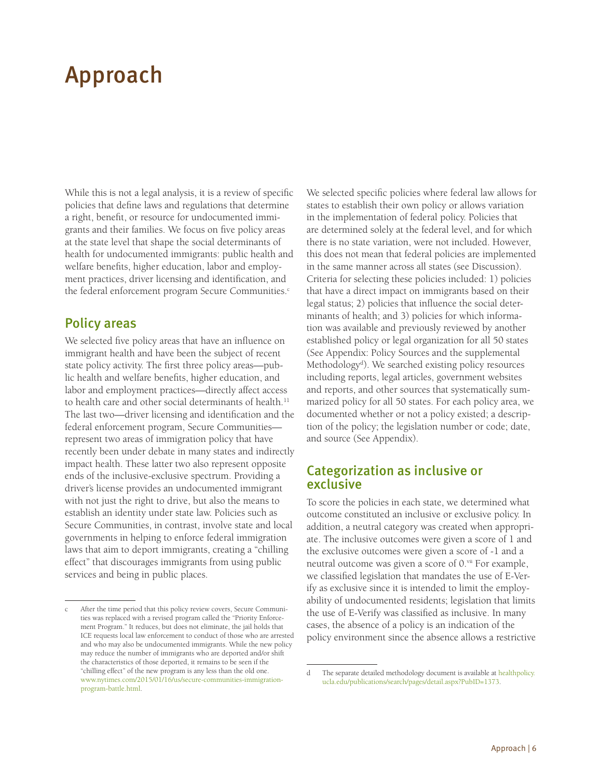# <span id="page-8-0"></span>Approach

While this is not a legal analysis, it is a review of specific policies that define laws and regulations that determine a right, benefit, or resource for undocumented immigrants and their families. We focus on five policy areas at the state level that shape the social determinants of health for undocumented immigrants: public health and welfare benefits, higher education, labor and employment practices, driver licensing and identification, and the federal enforcement program Secure Communities.<sup>c</sup>

### Policy areas

We selected five policy areas that have an influence on immigrant health and have been the subject of recent state policy activity. The first three policy areas—public health and welfare benefits, higher education, and labor and employment practices—directly affect access to health care and other social determinants of health.<sup>11</sup> The last two—driver licensing and identification and the federal enforcement program, Secure Communities represent two areas of immigration policy that have recently been under debate in many states and indirectly impact health. These latter two also represent opposite ends of the inclusive-exclusive spectrum. Providing a driver's license provides an undocumented immigrant with not just the right to drive, but also the means to establish an identity under state law. Policies such as Secure Communities, in contrast, involve state and local governments in helping to enforce federal immigration laws that aim to deport immigrants, creating a "chilling effect" that discourages immigrants from using public services and being in public places.

We selected specific policies where federal law allows for states to establish their own policy or allows variation in the implementation of federal policy. Policies that are determined solely at the federal level, and for which there is no state variation, were not included. However, this does not mean that federal policies are implemented in the same manner across all states (see Discussion). Criteria for selecting these policies included: 1) policies that have a direct impact on immigrants based on their legal status; 2) policies that influence the social determinants of health; and 3) policies for which information was available and previously reviewed by another established policy or legal organization for all 50 states (See Appendix: Policy Sources and the supplemental Methodology<sup>d</sup>). We searched existing policy resources including reports, legal articles, government websites and reports, and other sources that systematically summarized policy for all 50 states. For each policy area, we documented whether or not a policy existed; a description of the policy; the legislation number or code; date, and source (See Appendix).

### Categorization as inclusive or exclusive

To score the policies in each state, we determined what outcome constituted an inclusive or exclusive policy. In addition, a neutral category was created when appropriate. The inclusive outcomes were given a score of 1 and the exclusive outcomes were given a score of -1 and a neutral outcome was given a score of 0.<sup>vii</sup> For example, we classified legislation that mandates the use of E-Verify as exclusive since it is intended to limit the employability of undocumented residents; legislation that limits the use of E-Verify was classified as inclusive. In many cases, the absence of a policy is an indication of the policy environment since the absence allows a restrictive

After the time period that this policy review covers, Secure Communities was replaced with a revised program called the "Priority Enforcement Program." It reduces, but does not eliminate, the jail holds that ICE requests local law enforcement to conduct of those who are arrested and who may also be undocumented immigrants. While the new policy may reduce the number of immigrants who are deported and/or shift the characteristics of those deported, it remains to be seen if the "chilling effect" of the new program is any less than the old one. [www.nytimes.com/2015/01/16/us/secure-communities-immigration](http://www.nytimes.com/2015/01/16/us/secure-communities-immigration-program-battle.html)[program-battle.html.](http://www.nytimes.com/2015/01/16/us/secure-communities-immigration-program-battle.html)

d The separate detailed methodology document is available at [healthpolicy.](http://healthpolicy.ucla.edu/publications/search/pages/detail.aspx?PubID=1373) [ucla.edu/publications/search/pages/detail.aspx?PubID=1373.](http://healthpolicy.ucla.edu/publications/search/pages/detail.aspx?PubID=1373)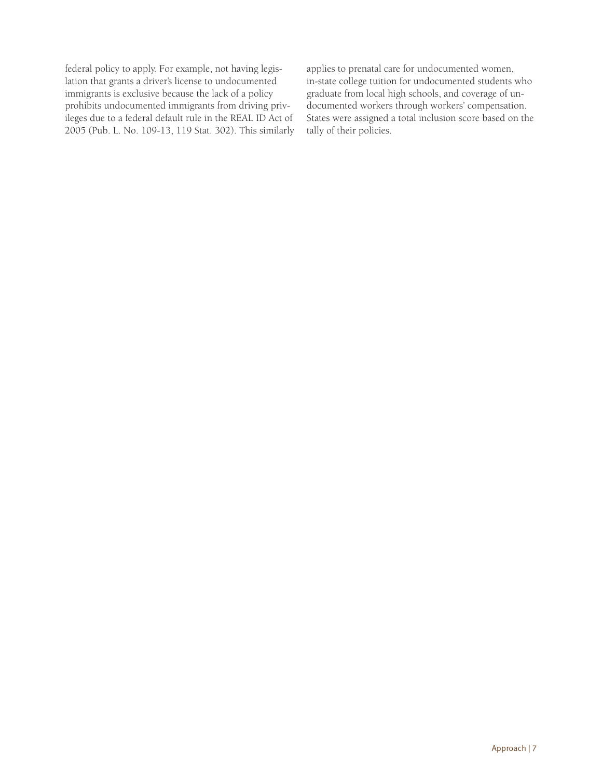federal policy to apply. For example, not having legislation that grants a driver's license to undocumented immigrants is exclusive because the lack of a policy prohibits undocumented immigrants from driving privileges due to a federal default rule in the REAL ID Act of 2005 (Pub. L. No. 109-13, 119 Stat. 302). This similarly applies to prenatal care for undocumented women, in-state college tuition for undocumented students who graduate from local high schools, and coverage of undocumented workers through workers' compensation. States were assigned a total inclusion score based on the tally of their policies.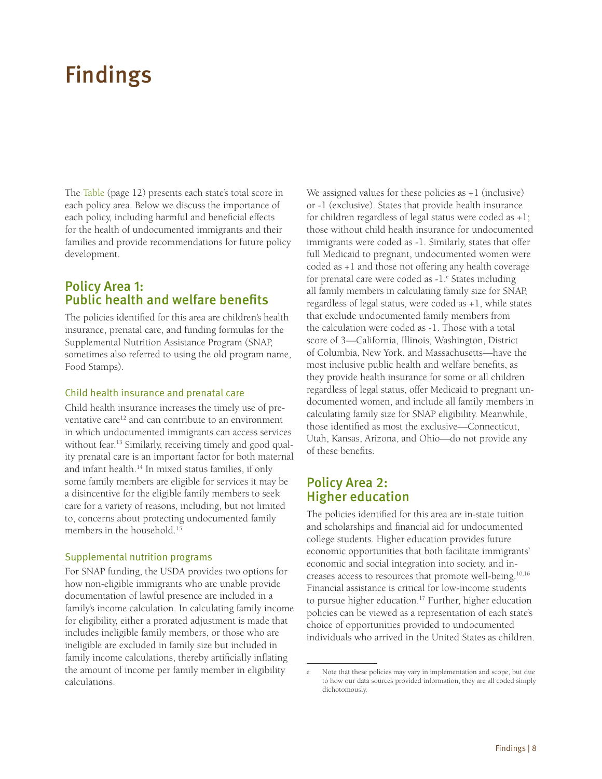# <span id="page-10-0"></span>Findings

The Table (page 12) presents each state's total score in each policy area. Below we discuss the importance of each policy, including harmful and beneficial effects for the health of undocumented immigrants and their families and provide recommendations for future policy development.

## Policy Area 1: Public health and welfare benefits

The policies identified for this area are children's health insurance, prenatal care, and funding formulas for the Supplemental Nutrition Assistance Program (SNAP, sometimes also referred to using the old program name, Food Stamps).

#### Child health insurance and prenatal care

Child health insurance increases the timely use of preventative care<sup>12</sup> and can contribute to an environment in which undocumented immigrants can access services without fear.<sup>13</sup> Similarly, receiving timely and good quality prenatal care is an important factor for both maternal and infant health.14 In mixed status families, if only some family members are eligible for services it may be a disincentive for the eligible family members to seek care for a variety of reasons, including, but not limited to, concerns about protecting undocumented family members in the household.15

#### Supplemental nutrition programs

For SNAP funding, the USDA provides two options for how non-eligible immigrants who are unable provide documentation of lawful presence are included in a family's income calculation. In calculating family income for eligibility, either a prorated adjustment is made that includes ineligible family members, or those who are ineligible are excluded in family size but included in family income calculations, thereby artificially inflating the amount of income per family member in eligibility calculations.

We assigned values for these policies as +1 (inclusive) or -1 (exclusive). States that provide health insurance for children regardless of legal status were coded as +1; those without child health insurance for undocumented immigrants were coded as -1. Similarly, states that offer full Medicaid to pregnant, undocumented women were coded as +1 and those not offering any health coverage for prenatal care were coded as  $-1$ .<sup>e</sup> States including all family members in calculating family size for SNAP, regardless of legal status, were coded as +1, while states that exclude undocumented family members from the calculation were coded as -1. Those with a total score of 3—California, Illinois, Washington, District of Columbia, New York, and Massachusetts—have the most inclusive public health and welfare benefits, as they provide health insurance for some or all children regardless of legal status, offer Medicaid to pregnant undocumented women, and include all family members in calculating family size for SNAP eligibility. Meanwhile, those identified as most the exclusive—Connecticut, Utah, Kansas, Arizona, and Ohio—do not provide any of these benefits.

### Policy Area 2: Higher education

The policies identified for this area are in-state tuition and scholarships and financial aid for undocumented college students. Higher education provides future economic opportunities that both facilitate immigrants' economic and social integration into society, and increases access to resources that promote well-being.<sup>10,16</sup> Financial assistance is critical for low-income students to pursue higher education.<sup>17</sup> Further, higher education policies can be viewed as a representation of each state's choice of opportunities provided to undocumented individuals who arrived in the United States as children.

Note that these policies may vary in implementation and scope, but due to how our data sources provided information, they are all coded simply dichotomously.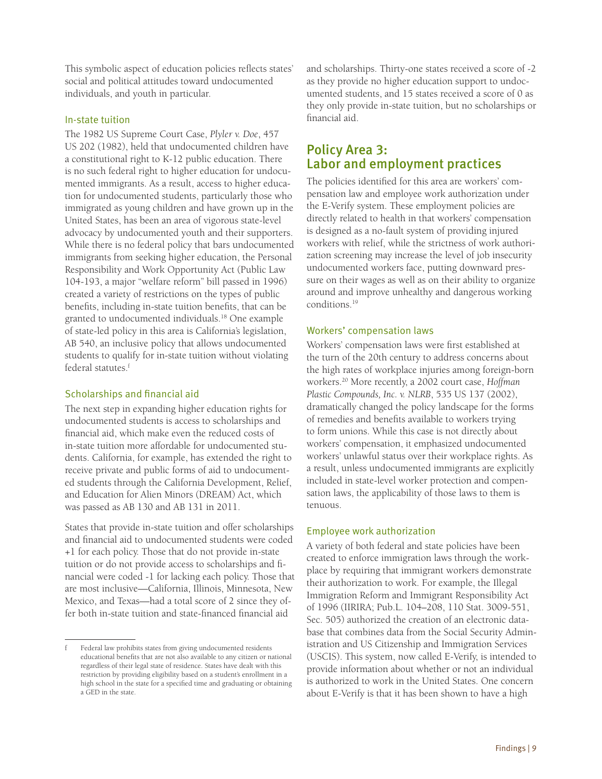<span id="page-11-0"></span>This symbolic aspect of education policies reflects states' social and political attitudes toward undocumented individuals, and youth in particular.

#### In-state tuition

The 1982 US Supreme Court Case, *Plyler v. Doe*, 457 US 202 (1982), held that undocumented children have a constitutional right to K-12 public education. There is no such federal right to higher education for undocumented immigrants. As a result, access to higher education for undocumented students, particularly those who immigrated as young children and have grown up in the United States, has been an area of vigorous state-level advocacy by undocumented youth and their supporters. While there is no federal policy that bars undocumented immigrants from seeking higher education, the Personal Responsibility and Work Opportunity Act (Public Law 104-193, a major "welfare reform" bill passed in 1996) created a variety of restrictions on the types of public benefits, including in-state tuition benefits, that can be granted to undocumented individuals.18 One example of state-led policy in this area is California's legislation, AB 540, an inclusive policy that allows undocumented students to qualify for in-state tuition without violating federal statutes.<sup>f</sup>

#### Scholarships and financial aid

The next step in expanding higher education rights for undocumented students is access to scholarships and financial aid, which make even the reduced costs of in-state tuition more affordable for undocumented students. California, for example, has extended the right to receive private and public forms of aid to undocumented students through the California Development, Relief, and Education for Alien Minors (DREAM) Act, which was passed as AB 130 and AB 131 in 2011.

States that provide in-state tuition and offer scholarships and financial aid to undocumented students were coded +1 for each policy. Those that do not provide in-state tuition or do not provide access to scholarships and financial were coded -1 for lacking each policy. Those that are most inclusive—California, Illinois, Minnesota, New Mexico, and Texas—had a total score of 2 since they offer both in-state tuition and state-financed financial aid

and scholarships. Thirty-one states received a score of -2 as they provide no higher education support to undocumented students, and 15 states received a score of 0 as they only provide in-state tuition, but no scholarships or financial aid.

### Policy Area 3: Labor and employment practices

The policies identified for this area are workers' compensation law and employee work authorization under the E-Verify system. These employment policies are directly related to health in that workers' compensation is designed as a no-fault system of providing injured workers with relief, while the strictness of work authorization screening may increase the level of job insecurity undocumented workers face, putting downward pressure on their wages as well as on their ability to organize around and improve unhealthy and dangerous working conditions.19

#### Workers' compensation laws

Workers' compensation laws were first established at the turn of the 20th century to address concerns about the high rates of workplace injuries among foreign-born workers.20 More recently, a 2002 court case, *Hoffman Plastic Compounds, Inc. v. NLRB*, 535 US 137 (2002), dramatically changed the policy landscape for the forms of remedies and benefits available to workers trying to form unions. While this case is not directly about workers' compensation, it emphasized undocumented workers' unlawful status over their workplace rights. As a result, unless undocumented immigrants are explicitly included in state-level worker protection and compensation laws, the applicability of those laws to them is tenuous.

#### Employee work authorization

A variety of both federal and state policies have been created to enforce immigration laws through the workplace by requiring that immigrant workers demonstrate their authorization to work. For example, the Illegal Immigration Reform and Immigrant Responsibility Act of 1996 (IIRIRA; Pub.L. 104–208, 110 Stat. 3009-551, Sec. 505) authorized the creation of an electronic database that combines data from the Social Security Administration and US Citizenship and Immigration Services (USCIS). This system, now called E-Verify, is intended to provide information about whether or not an individual is authorized to work in the United States. One concern about E-Verify is that it has been shown to have a high

f Federal law prohibits states from giving undocumented residents educational benefits that are not also available to any citizen or national regardless of their legal state of residence. States have dealt with this restriction by providing eligibility based on a student's enrollment in a high school in the state for a specified time and graduating or obtaining a GED in the state.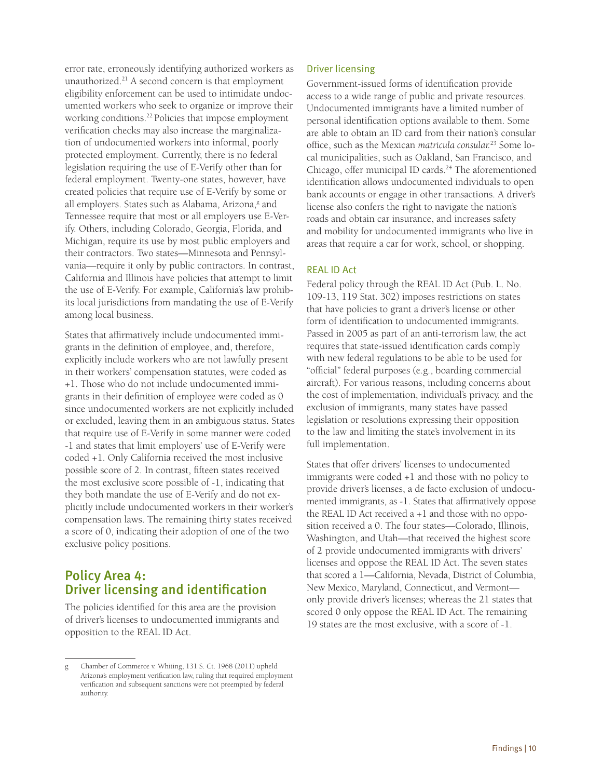<span id="page-12-0"></span>error rate, erroneously identifying authorized workers as unauthorized.21 A second concern is that employment eligibility enforcement can be used to intimidate undocumented workers who seek to organize or improve their working conditions.22 Policies that impose employment verification checks may also increase the marginalization of undocumented workers into informal, poorly protected employment. Currently, there is no federal legislation requiring the use of E-Verify other than for federal employment. Twenty-one states, however, have created policies that require use of E-Verify by some or all employers. States such as Alabama, Arizona,<sup>g</sup> and Tennessee require that most or all employers use E-Verify. Others, including Colorado, Georgia, Florida, and Michigan, require its use by most public employers and their contractors. Two states—Minnesota and Pennsylvania—require it only by public contractors. In contrast, California and Illinois have policies that attempt to limit the use of E-Verify. For example, California's law prohibits local jurisdictions from mandating the use of E-Verify among local business.

States that affirmatively include undocumented immigrants in the definition of employee, and, therefore, explicitly include workers who are not lawfully present in their workers' compensation statutes, were coded as +1. Those who do not include undocumented immigrants in their definition of employee were coded as 0 since undocumented workers are not explicitly included or excluded, leaving them in an ambiguous status. States that require use of E-Verify in some manner were coded -1 and states that limit employers' use of E-Verify were coded +1. Only California received the most inclusive possible score of 2. In contrast, fifteen states received the most exclusive score possible of -1, indicating that they both mandate the use of E-Verify and do not explicitly include undocumented workers in their worker's compensation laws. The remaining thirty states received a score of 0, indicating their adoption of one of the two exclusive policy positions.

## Policy Area 4: Driver licensing and identification

The policies identified for this area are the provision of driver's licenses to undocumented immigrants and opposition to the REAL ID Act.

#### Driver licensing

Government-issued forms of identification provide access to a wide range of public and private resources. Undocumented immigrants have a limited number of personal identification options available to them. Some are able to obtain an ID card from their nation's consular office, such as the Mexican *matricula consular.*23 Some local municipalities, such as Oakland, San Francisco, and Chicago, offer municipal ID cards.<sup>24</sup> The aforementioned identification allows undocumented individuals to open bank accounts or engage in other transactions. A driver's license also confers the right to navigate the nation's roads and obtain car insurance, and increases safety and mobility for undocumented immigrants who live in areas that require a car for work, school, or shopping.

#### REAL ID Act

Federal policy through the REAL ID Act (Pub. L. No. 109-13, 119 Stat. 302) imposes restrictions on states that have policies to grant a driver's license or other form of identification to undocumented immigrants. Passed in 2005 as part of an anti-terrorism law, the act requires that state-issued identification cards comply with new federal regulations to be able to be used for "official" federal purposes (e.g., boarding commercial aircraft). For various reasons, including concerns about the cost of implementation, individual's privacy, and the exclusion of immigrants, many states have passed legislation or resolutions expressing their opposition to the law and limiting the state's involvement in its full implementation.

States that offer drivers' licenses to undocumented immigrants were coded +1 and those with no policy to provide driver's licenses, a de facto exclusion of undocumented immigrants, as -1. States that affirmatively oppose the REAL ID Act received a +1 and those with no opposition received a 0. The four states—Colorado, Illinois, Washington, and Utah—that received the highest score of 2 provide undocumented immigrants with drivers' licenses and oppose the REAL ID Act. The seven states that scored a 1—California, Nevada, District of Columbia, New Mexico, Maryland, Connecticut, and Vermont only provide driver's licenses; whereas the 21 states that scored 0 only oppose the REAL ID Act. The remaining 19 states are the most exclusive, with a score of -1.

g Chamber of Commerce v. Whiting, 131 S. Ct. 1968 (2011) upheld Arizona's employment verification law, ruling that required employment verification and subsequent sanctions were not preempted by federal authority.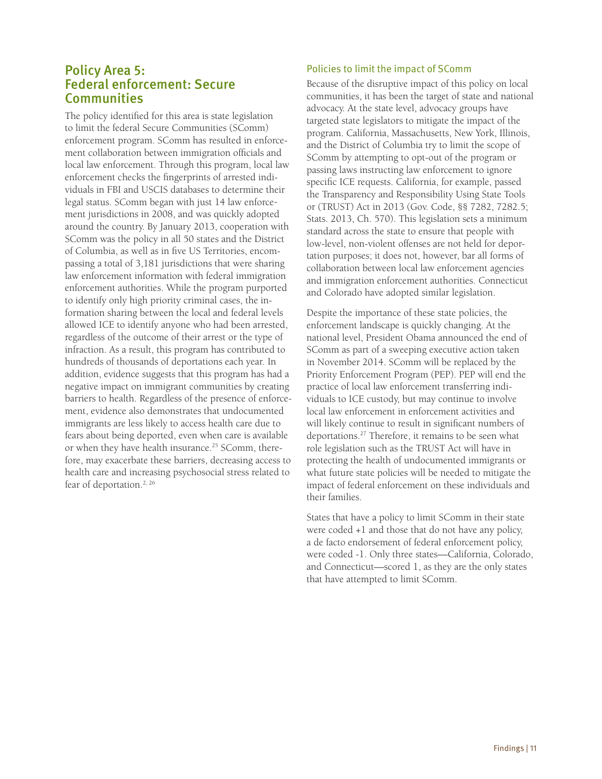### <span id="page-13-0"></span>Policy Area 5: Federal enforcement: Secure **Communities**

The policy identified for this area is state legislation to limit the federal Secure Communities (SComm) enforcement program. SComm has resulted in enforcement collaboration between immigration officials and local law enforcement. Through this program, local law enforcement checks the fingerprints of arrested individuals in FBI and USCIS databases to determine their legal status. SComm began with just 14 law enforcement jurisdictions in 2008, and was quickly adopted around the country. By January 2013, cooperation with SComm was the policy in all 50 states and the District of Columbia, as well as in five US Territories, encompassing a total of 3,181 jurisdictions that were sharing law enforcement information with federal immigration enforcement authorities. While the program purported to identify only high priority criminal cases, the information sharing between the local and federal levels allowed ICE to identify anyone who had been arrested, regardless of the outcome of their arrest or the type of infraction. As a result, this program has contributed to hundreds of thousands of deportations each year. In addition, evidence suggests that this program has had a negative impact on immigrant communities by creating barriers to health. Regardless of the presence of enforcement, evidence also demonstrates that undocumented immigrants are less likely to access health care due to fears about being deported, even when care is available or when they have health insurance.<sup>25</sup> SComm, therefore, may exacerbate these barriers, decreasing access to health care and increasing psychosocial stress related to fear of deportation.<sup>2, 26</sup>

#### Policies to limit the impact of SComm

Because of the disruptive impact of this policy on local communities, it has been the target of state and national advocacy. At the state level, advocacy groups have targeted state legislators to mitigate the impact of the program. California, Massachusetts, New York, Illinois, and the District of Columbia try to limit the scope of SComm by attempting to opt-out of the program or passing laws instructing law enforcement to ignore specific ICE requests. California, for example, passed the Transparency and Responsibility Using State Tools or (TRUST) Act in 2013 (Gov. Code, §§ 7282, 7282.5; Stats. 2013, Ch. 570). This legislation sets a minimum standard across the state to ensure that people with low-level, non-violent offenses are not held for deportation purposes; it does not, however, bar all forms of collaboration between local law enforcement agencies and immigration enforcement authorities. Connecticut and Colorado have adopted similar legislation.

Despite the importance of these state policies, the enforcement landscape is quickly changing. At the national level, President Obama announced the end of SComm as part of a sweeping executive action taken in November 2014. SComm will be replaced by the Priority Enforcement Program (PEP). PEP will end the practice of local law enforcement transferring individuals to ICE custody, but may continue to involve local law enforcement in enforcement activities and will likely continue to result in significant numbers of deportations.27 Therefore, it remains to be seen what role legislation such as the TRUST Act will have in protecting the health of undocumented immigrants or what future state policies will be needed to mitigate the impact of federal enforcement on these individuals and their families.

States that have a policy to limit SComm in their state were coded +1 and those that do not have any policy, a de facto endorsement of federal enforcement policy, were coded -1. Only three states—California, Colorado, and Connecticut—scored 1, as they are the only states that have attempted to limit SComm.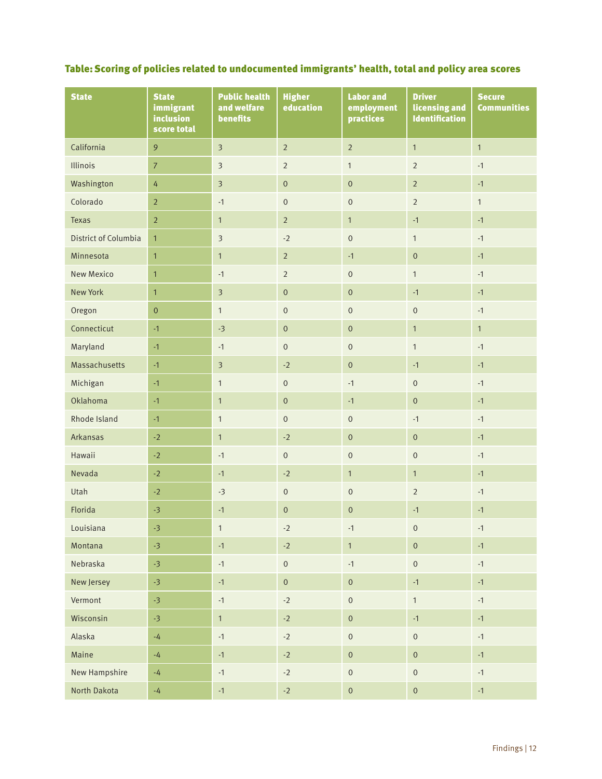### Table: Scoring of policies related to undocumented immigrants' health, total and policy area scores

| <b>State</b>         | <b>State</b><br>immigrant<br>inclusion<br>score total | <b>Public health</b><br>and welfare<br><b>benefits</b> | <b>Higher</b><br>education | <b>Labor and</b><br>employment<br>practices | <b>Driver</b><br>licensing and<br><b>Identification</b> | <b>Secure</b><br><b>Communities</b> |
|----------------------|-------------------------------------------------------|--------------------------------------------------------|----------------------------|---------------------------------------------|---------------------------------------------------------|-------------------------------------|
| California           | 9                                                     | $\overline{\mathbf{3}}$                                | $\overline{2}$             | $\overline{2}$                              | $\overline{1}$                                          | $\overline{1}$                      |
| Illinois             | $\overline{7}$                                        | $\overline{3}$                                         | $\overline{2}$             | $\mathbf{1}$                                | $\overline{2}$                                          | $-1$                                |
| Washington           | $\overline{4}$                                        | $\overline{3}$                                         | $\mathbf 0$                | $\mathbf{0}$                                | $\overline{2}$                                          | $-1$                                |
| Colorado             | $\sqrt{2}$                                            | $-1$                                                   | $\mathbf 0$                | $\mathbf 0$                                 | $\overline{2}$                                          | $\mathbf{1}$                        |
| <b>Texas</b>         | $\sqrt{2}$                                            | $\mathbf{1}$                                           | $\overline{2}$             | $\mathbf{1}$                                | $-1$                                                    | $-1$                                |
| District of Columbia | $\mathbf{1}$                                          | $\overline{\mathbf{3}}$                                | $-2$                       | $\,0\,$                                     | $\mathbf{1}$                                            | $-1$                                |
| Minnesota            | $\mathbf{1}$                                          | $\mathbf{1}$                                           | $\sqrt{2}$                 | $-1$                                        | $\mathbf{0}$                                            | $-1$                                |
| <b>New Mexico</b>    | $\overline{1}$                                        | $-1$                                                   | $\overline{2}$             | $\boldsymbol{0}$                            | $\mathbf{1}$                                            | $-1$                                |
| <b>New York</b>      | $\mathbf{1}$                                          | $\overline{\mathbf{3}}$                                | $\mathbf 0$                | $\boldsymbol{0}$                            | $-1$                                                    | $-1$                                |
| Oregon               | $\pmb{0}$                                             | $\mathbf{1}$                                           | $\mbox{O}$                 | $\mathbf 0$                                 | $\mathbf{0}$                                            | $-1$                                |
| Connecticut          | $-1$                                                  | $-3$                                                   | $\mathbf 0$                | $\mathbf{0}$                                | $\mathbf{1}$                                            | $\mathbf{1}$                        |
| Maryland             | $-1$                                                  | $-1$                                                   | $\mathbf 0$                | $\mathbf 0$                                 | $\mathbf{1}$                                            | $-1$                                |
| Massachusetts        | $-1$                                                  | $\overline{3}$                                         | $-2$                       | $\mathbf 0$                                 | $-1$                                                    | $-1$                                |
| Michigan             | $-1$                                                  | $\mathbf{1}$                                           | $\mbox{O}$                 | $-1$                                        | $\mathbf 0$                                             | $-1$                                |
| Oklahoma             | $-1$                                                  | $\mathbf{1}$                                           | $\mathbf 0$                | $-1$                                        | $\mathbf 0$                                             | $-1$                                |
| Rhode Island         | $-1$                                                  | $\mathbf{1}$                                           | $\mathbf 0$                | $\mathbf 0$                                 | $-1$                                                    | $-1$                                |
| Arkansas             | $-2$                                                  | $\mathbf{1}$                                           | $-2$                       | $\mathbf{0}$                                | $\mathsf{O}\xspace$                                     | $-1$                                |
| Hawaii               | $-2$                                                  | $-1$                                                   | $\mathbf 0$                | $\mathbf 0$                                 | $\mathbf 0$                                             | $-1$                                |
| Nevada               | $-2$                                                  | $-1$                                                   | $-2$                       | $\mathbf{1}$                                | $\mathbf{1}$                                            | $-1$                                |
| Utah                 | $-2$                                                  | $-3$                                                   | $\boldsymbol{0}$           | $\boldsymbol{0}$                            | $\overline{2}$                                          | $-1$                                |
| Florida              | $-3$                                                  | $-1$                                                   | $\boldsymbol{0}$           | $\mathbf{0}$                                | $-1$                                                    | $-1$                                |
| Louisiana            | -3                                                    | $\mathbf{1}$                                           | $-2$                       | $-1$                                        | $\overline{0}$                                          | $-1$                                |
| Montana              | $-3$                                                  | $-1$                                                   | $\text{-}2$                | $\mathbf{1}$                                | $\mathsf{O}\xspace$                                     | $-1$                                |
| Nebraska             | $-3$                                                  | $-1$                                                   | $\mathbf 0$                | $-1$                                        | $\mathbf 0$                                             | $-1$                                |
| New Jersey           | $-3$                                                  | $-1$                                                   | $\mathbf 0$                | $\mathbf 0$                                 | $-1$                                                    | $-1$                                |
| Vermont              | $-3$                                                  | $-1$                                                   | $-2$                       | $\mathsf{O}\xspace$                         | $\mathbf{1}$                                            | $-1$                                |
| Wisconsin            | $-3$                                                  | $\mathbf{1}$                                           | $-2$                       | $\mathbf 0$                                 | $-1$                                                    | $-1$                                |
| Alaska               | $\mathbin{\text{-}} 4$                                | $-1$                                                   | $-2$                       | $\mathbf 0$                                 | $\mathbf 0$                                             | $-1$                                |
| Maine                | $\mathbin{\text{-}} 4$                                | $-1$                                                   | $-2$                       | $\mathbf 0$                                 | $\mathsf{O}\xspace$                                     | $-1$                                |
| New Hampshire        | $\mathbin{\text{-}} 4$                                | $-1$                                                   | $-2$                       | $\mathbf 0$                                 | $\mathbf 0$                                             | $-1$                                |
| North Dakota         | $-4$                                                  | $-1$                                                   | $-2$                       | $\mathbf 0$                                 | $\mathbf 0$                                             | $-1$                                |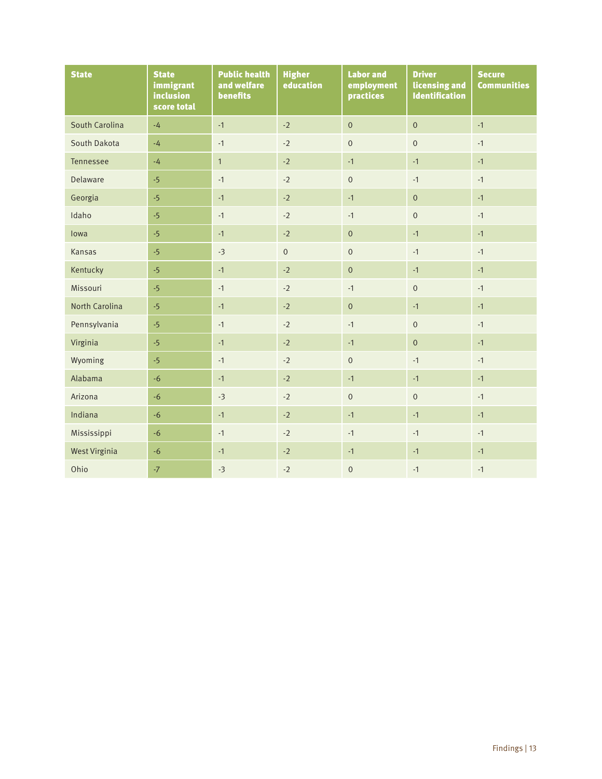| <b>State</b>         | <b>State</b><br>immigrant<br>inclusion<br>score total | <b>Public health</b><br>and welfare<br>benefits | <b>Higher</b><br>education | <b>Labor and</b><br>employment<br>practices | <b>Driver</b><br>licensing and<br><b>Identification</b> | <b>Secure</b><br><b>Communities</b> |
|----------------------|-------------------------------------------------------|-------------------------------------------------|----------------------------|---------------------------------------------|---------------------------------------------------------|-------------------------------------|
| South Carolina       | $-4$                                                  | $-1$                                            | $-2$                       | $\mathbf 0$                                 | $\overline{0}$                                          | $-1$                                |
| South Dakota         | $-4$                                                  | $-1$                                            | $-2$                       | $\mathbf 0$                                 | $\mathbf 0$                                             | $-1$                                |
| Tennessee            | $-4$                                                  | $\mathbf{1}$                                    | $-2$                       | $-1$                                        | $-1$                                                    | $-1$                                |
| Delaware             | $-5$                                                  | $-1$                                            | $-2$                       | $\mathbf 0$                                 | $-1$                                                    | $-1$                                |
| Georgia              | $-5$                                                  | $-1$                                            | $-2$                       | $-1$                                        | $\mathbf 0$                                             | $-1$                                |
| Idaho                | $-5$                                                  | $-1$                                            | $-2$                       | $-1$                                        | $\mathbf 0$                                             | $-1$                                |
| lowa                 | $-5$                                                  | $-1$                                            | $-2$                       | $\mathbf 0$                                 | $-1$                                                    | $-1$                                |
| Kansas               | $-5$                                                  | $-3$                                            | $\mathsf{O}\xspace$        | $\mathsf{O}\xspace$                         | $-1$                                                    | $-1$                                |
| Kentucky             | $-5$                                                  | $-1$                                            | $-2$                       | $\overline{0}$                              | $-1$                                                    | $-1$                                |
| Missouri             | $-5$                                                  | $-1$                                            | $-2$                       | $-1$                                        | $\mathbf 0$                                             | $-1$                                |
| North Carolina       | $-5$                                                  | $-1$                                            | $-2$                       | $\mathbf 0$                                 | $-1$                                                    | $-1$                                |
| Pennsylvania         | $-5$                                                  | $-1$                                            | $-2$                       | $-1$                                        | $\mathbf 0$                                             | $-1$                                |
| Virginia             | $-5$                                                  | $-1$                                            | $-2$                       | $-1$                                        | $\overline{0}$                                          | $-1$                                |
| Wyoming              | $-5$                                                  | $-1$                                            | $-2$                       | $\mathsf{O}\xspace$                         | $-1$                                                    | $-1$                                |
| Alabama              | $-6$                                                  | $-1$                                            | $-2$                       | $-1$                                        | $-1$                                                    | $-1$                                |
| Arizona              | $-6$                                                  | $-3$                                            | $-2$                       | $\mathbf{0}$                                | $\mathbf{0}$                                            | $-1$                                |
| Indiana              | $-6$                                                  | $-1$                                            | $-2$                       | $-1$                                        | $-1$                                                    | $-1$                                |
| Mississippi          | $-6$                                                  | $-1$                                            | $-2$                       | $-1$                                        | $-1$                                                    | $-1$                                |
| <b>West Virginia</b> | $-6$                                                  | $-1$                                            | $-2$                       | $-1$                                        | $-1$                                                    | $-1$                                |
| Ohio                 | $-7$                                                  | $-3$                                            | $-2$                       | $\mathbf{0}$                                | $-1$                                                    | $-1$                                |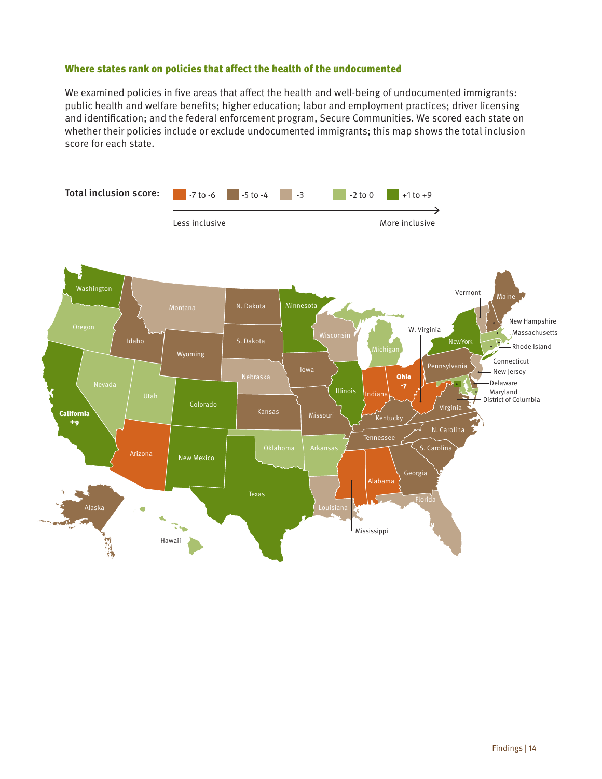#### Where states rank on policies that affect the health of the undocumented

We examined policies in five areas that affect the health and well-being of undocumented immigrants: public health and welfare benefits; higher education; labor and employment practices; driver licensing and identification; and the federal enforcement program, Secure Communities. We scored each state on whether their policies include or exclude undocumented immigrants; this map shows the total inclusion score for each state.

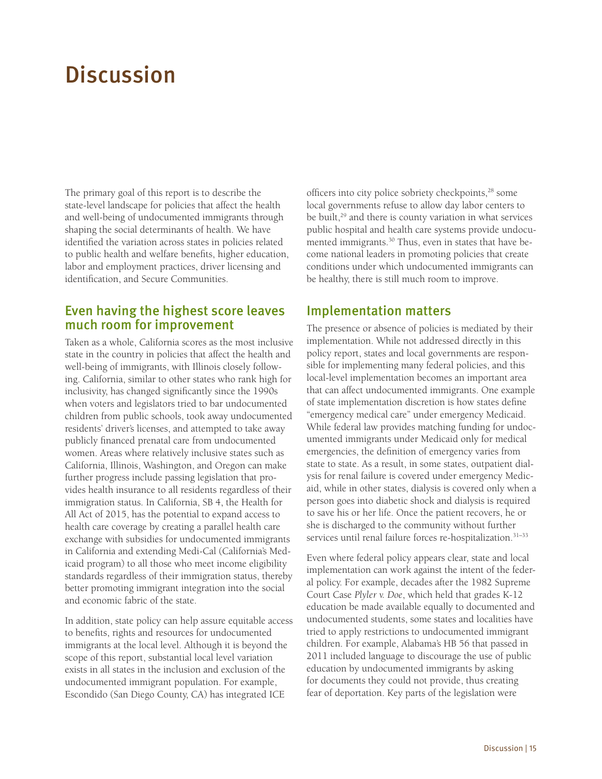# <span id="page-17-0"></span>**Discussion**

The primary goal of this report is to describe the state-level landscape for policies that affect the health and well-being of undocumented immigrants through shaping the social determinants of health. We have identified the variation across states in policies related to public health and welfare benefits, higher education, labor and employment practices, driver licensing and identification, and Secure Communities.

### Even having the highest score leaves much room for improvement

Taken as a whole, California scores as the most inclusive state in the country in policies that affect the health and well-being of immigrants, with Illinois closely following. California, similar to other states who rank high for inclusivity, has changed significantly since the 1990s when voters and legislators tried to bar undocumented children from public schools, took away undocumented residents' driver's licenses, and attempted to take away publicly financed prenatal care from undocumented women. Areas where relatively inclusive states such as California, Illinois, Washington, and Oregon can make further progress include passing legislation that provides health insurance to all residents regardless of their immigration status. In California, SB 4, the Health for All Act of 2015, has the potential to expand access to health care coverage by creating a parallel health care exchange with subsidies for undocumented immigrants in California and extending Medi-Cal (California's Medicaid program) to all those who meet income eligibility standards regardless of their immigration status, thereby better promoting immigrant integration into the social and economic fabric of the state.

In addition, state policy can help assure equitable access to benefits, rights and resources for undocumented immigrants at the local level. Although it is beyond the scope of this report, substantial local level variation exists in all states in the inclusion and exclusion of the undocumented immigrant population. For example, Escondido (San Diego County, CA) has integrated ICE

officers into city police sobriety checkpoints,<sup>28</sup> some local governments refuse to allow day labor centers to be built,<sup>29</sup> and there is county variation in what services public hospital and health care systems provide undocumented immigrants.30 Thus, even in states that have become national leaders in promoting policies that create conditions under which undocumented immigrants can be healthy, there is still much room to improve.

### Implementation matters

The presence or absence of policies is mediated by their implementation. While not addressed directly in this policy report, states and local governments are responsible for implementing many federal policies, and this local-level implementation becomes an important area that can affect undocumented immigrants. One example of state implementation discretion is how states define "emergency medical care" under emergency Medicaid. While federal law provides matching funding for undocumented immigrants under Medicaid only for medical emergencies, the definition of emergency varies from state to state. As a result, in some states, outpatient dialysis for renal failure is covered under emergency Medicaid, while in other states, dialysis is covered only when a person goes into diabetic shock and dialysis is required to save his or her life. Once the patient recovers, he or she is discharged to the community without further services until renal failure forces re-hospitalization.<sup>31-33</sup>

Even where federal policy appears clear, state and local implementation can work against the intent of the federal policy. For example, decades after the 1982 Supreme Court Case *Plyler v. Doe*, which held that grades K-12 education be made available equally to documented and undocumented students, some states and localities have tried to apply restrictions to undocumented immigrant children. For example, Alabama's HB 56 that passed in 2011 included language to discourage the use of public education by undocumented immigrants by asking for documents they could not provide, thus creating fear of deportation. Key parts of the legislation were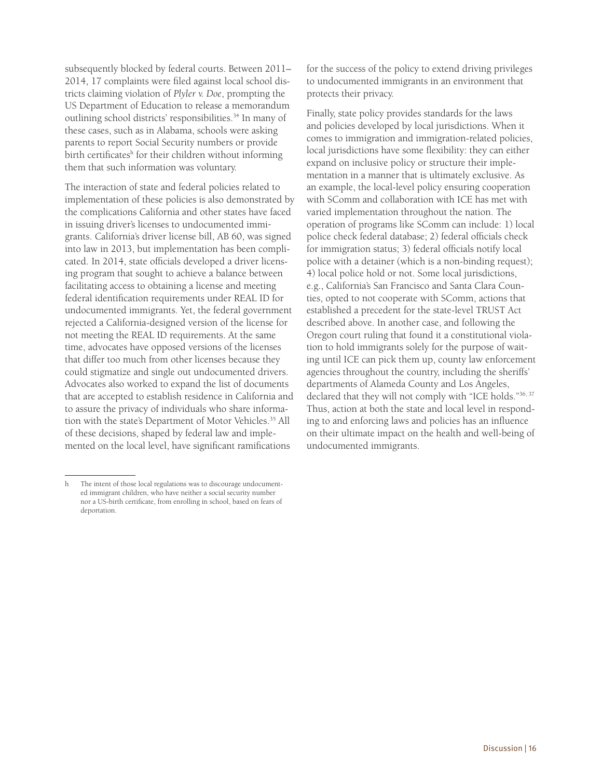subsequently blocked by federal courts. Between 2011– 2014, 17 complaints were filed against local school districts claiming violation of *Plyler v. Doe*, prompting the US Department of Education to release a memorandum outlining school districts' responsibilities.<sup>34</sup> In many of these cases, such as in Alabama, schools were asking parents to report Social Security numbers or provide birth certificates<sup>h</sup> for their children without informing them that such information was voluntary.

The interaction of state and federal policies related to implementation of these policies is also demonstrated by the complications California and other states have faced in issuing driver's licenses to undocumented immigrants. California's driver license bill, AB 60, was signed into law in 2013, but implementation has been complicated. In 2014, state officials developed a driver licensing program that sought to achieve a balance between facilitating access to obtaining a license and meeting federal identification requirements under REAL ID for undocumented immigrants. Yet, the federal government rejected a California-designed version of the license for not meeting the REAL ID requirements. At the same time, advocates have opposed versions of the licenses that differ too much from other licenses because they could stigmatize and single out undocumented drivers. Advocates also worked to expand the list of documents that are accepted to establish residence in California and to assure the privacy of individuals who share information with the state's Department of Motor Vehicles.<sup>35</sup> All of these decisions, shaped by federal law and implemented on the local level, have significant ramifications

for the success of the policy to extend driving privileges to undocumented immigrants in an environment that protects their privacy.

Finally, state policy provides standards for the laws and policies developed by local jurisdictions. When it comes to immigration and immigration-related policies, local jurisdictions have some flexibility: they can either expand on inclusive policy or structure their implementation in a manner that is ultimately exclusive. As an example, the local-level policy ensuring cooperation with SComm and collaboration with ICE has met with varied implementation throughout the nation. The operation of programs like SComm can include: 1) local police check federal database; 2) federal officials check for immigration status; 3) federal officials notify local police with a detainer (which is a non-binding request); 4) local police hold or not. Some local jurisdictions, e.g., California's San Francisco and Santa Clara Counties, opted to not cooperate with SComm, actions that established a precedent for the state-level TRUST Act described above. In another case, and following the Oregon court ruling that found it a constitutional violation to hold immigrants solely for the purpose of waiting until ICE can pick them up, county law enforcement agencies throughout the country, including the sheriffs' departments of Alameda County and Los Angeles, declared that they will not comply with "ICE holds."36, 37 Thus, action at both the state and local level in responding to and enforcing laws and policies has an influence on their ultimate impact on the health and well-being of undocumented immigrants.

h The intent of those local regulations was to discourage undocumented immigrant children, who have neither a social security number nor a US-birth certificate, from enrolling in school, based on fears of deportation.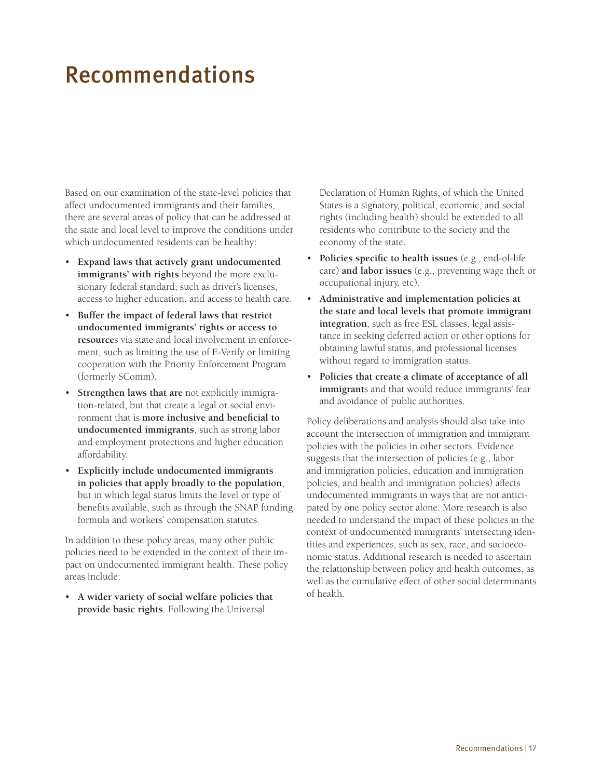# <span id="page-19-0"></span>Recommendations

Based on our examination of the state-level policies that affect undocumented immigrants and their families, there are several areas of policy that can be addressed at the state and local level to improve the conditions under which undocumented residents can be healthy:

- **Expand laws that actively grant undocumented immigrants' with rights** beyond the more exclusionary federal standard, such as driver's licenses, access to higher education, and access to health care.
- **Buffer the impact of federal laws that restrict undocumented immigrants' rights or access to resource**s via state and local involvement in enforcement, such as limiting the use of E-Verify or limiting cooperation with the Priority Enforcement Program (formerly SComm).
- **Strengthen laws that are** not explicitly immigration-related, but that create a legal or social environment that is **more inclusive and beneficial to undocumented immigrants**, such as strong labor and employment protections and higher education affordability.
- **Explicitly include undocumented immigrants in policies that apply broadly to the population**, but in which legal status limits the level or type of benefits available, such as through the SNAP funding formula and workers' compensation statutes.

In addition to these policy areas, many other public policies need to be extended in the context of their impact on undocumented immigrant health. These policy areas include:

• **A wider variety of social welfare policies that provide basic rights**. Following the Universal

Declaration of Human Rights, of which the United States is a signatory, political, economic, and social rights (including health) should be extended to all residents who contribute to the society and the economy of the state.

- **Policies specific to health issues** (e.g., end-of-life care) **and labor issues** (e.g., preventing wage theft or occupational injury, etc).
- **Administrative and implementation policies at the state and local levels that promote immigrant integration**, such as free ESL classes, legal assistance in seeking deferred action or other options for obtaining lawful status, and professional licenses without regard to immigration status.
- **Policies that create a climate of acceptance of all immigrant**s and that would reduce immigrants' fear and avoidance of public authorities.

Policy deliberations and analysis should also take into account the intersection of immigration and immigrant policies with the policies in other sectors. Evidence suggests that the intersection of policies (e.g., labor and immigration policies, education and immigration policies, and health and immigration policies) affects undocumented immigrants in ways that are not anticipated by one policy sector alone. More research is also needed to understand the impact of these policies in the context of undocumented immigrants' intersecting identities and experiences, such as sex, race, and socioeconomic status. Additional research is needed to ascertain the relationship between policy and health outcomes, as well as the cumulative effect of other social determinants of health.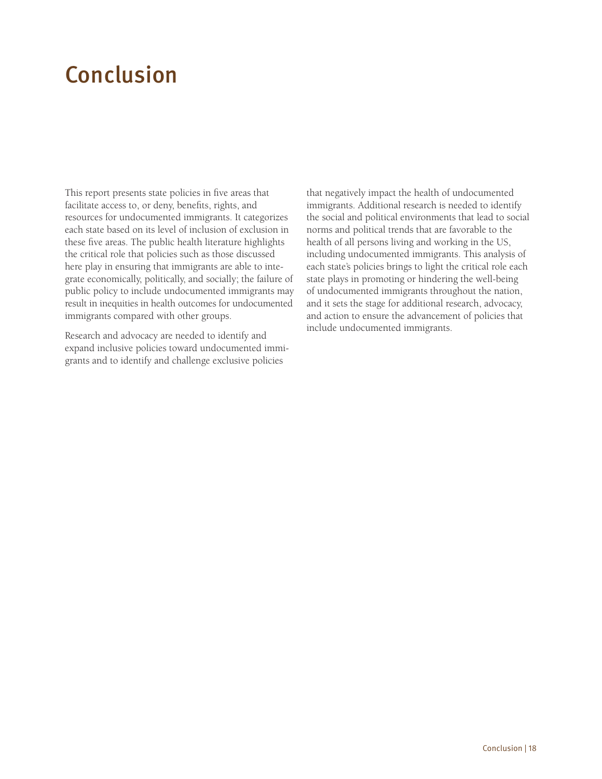# <span id="page-20-0"></span>Conclusion

This report presents state policies in five areas that facilitate access to, or deny, benefits, rights, and resources for undocumented immigrants. It categorizes each state based on its level of inclusion of exclusion in these five areas. The public health literature highlights the critical role that policies such as those discussed here play in ensuring that immigrants are able to integrate economically, politically, and socially; the failure of public policy to include undocumented immigrants may result in inequities in health outcomes for undocumented immigrants compared with other groups.

Research and advocacy are needed to identify and expand inclusive policies toward undocumented immigrants and to identify and challenge exclusive policies

that negatively impact the health of undocumented immigrants. Additional research is needed to identify the social and political environments that lead to social norms and political trends that are favorable to the health of all persons living and working in the US, including undocumented immigrants. This analysis of each state's policies brings to light the critical role each state plays in promoting or hindering the well-being of undocumented immigrants throughout the nation, and it sets the stage for additional research, advocacy, and action to ensure the advancement of policies that include undocumented immigrants.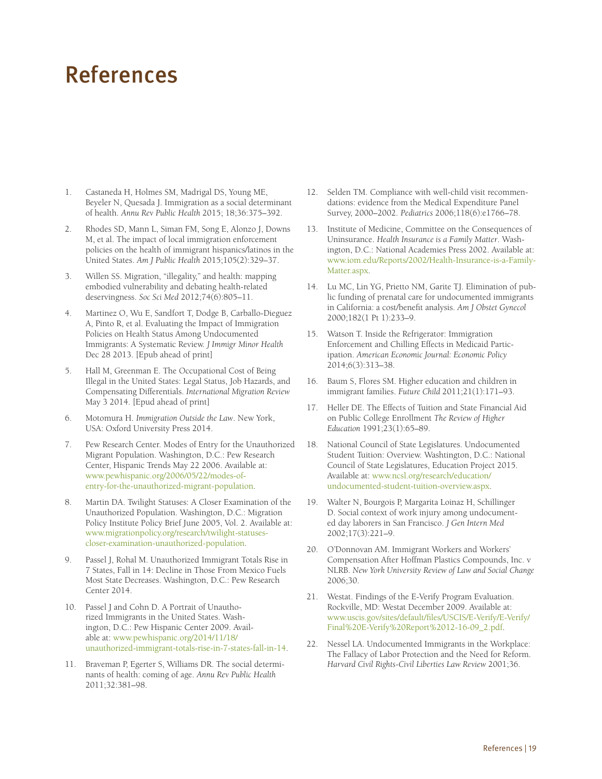## <span id="page-21-0"></span>References

- 1. Castaneda H, Holmes SM, Madrigal DS, Young ME, Beyeler N, Quesada J. Immigration as a social determinant of health. *Annu Rev Public Health* 2015; 18;36:375–392.
- 2. Rhodes SD, Mann L, Siman FM, Song E, Alonzo J, Downs M, et al. The impact of local immigration enforcement policies on the health of immigrant hispanics/latinos in the United States. *Am J Public Health* 2015;105(2):329–37.
- 3. Willen SS. Migration, "illegality," and health: mapping embodied vulnerability and debating health-related deservingness. *Soc Sci Med* 2012;74(6):805–11.
- 4. Martinez O, Wu E, Sandfort T, Dodge B, Carballo-Dieguez A, Pinto R, et al. Evaluating the Impact of Immigration Policies on Health Status Among Undocumented Immigrants: A Systematic Review. *J Immigr Minor Health* Dec 28 2013. [Epub ahead of print]
- 5. Hall M, Greenman E. The Occupational Cost of Being Illegal in the United States: Legal Status, Job Hazards, and Compensating Differentials. *International Migration Review* May 3 2014. [Epud ahead of print]
- 6. Motomura H. *Immigration Outside the Law*. New York, USA: Oxford University Press 2014.
- 7. Pew Research Center. Modes of Entry for the Unauthorized Migrant Population. Washington, D.C.: Pew Research Center, Hispanic Trends May 22 2006. Available at: [www.pewhispanic.org/2006/05/22/modes-of](http://www.pewhispanic.org/2006/05/22/modes-of-entry-for-the-unauthorized-migrant-population/)[entry-for-the-unauthorized-migrant-population.](http://www.pewhispanic.org/2006/05/22/modes-of-entry-for-the-unauthorized-migrant-population/)
- 8. Martin DA. Twilight Statuses: A Closer Examination of the Unauthorized Population. Washington, D.C.: Migration Policy Institute Policy Brief June 2005, Vol. 2. Available at: [www.migrationpolicy.org/research/twilight-statuses](http://www.migrationpolicy.org/research/twilight-statuses-closer-examination-unauthorized-population)[closer-examination-unauthorized-population.](http://www.migrationpolicy.org/research/twilight-statuses-closer-examination-unauthorized-population)
- 9. Passel J, Rohal M. Unauthorized Immigrant Totals Rise in 7 States, Fall in 14: Decline in Those From Mexico Fuels Most State Decreases. Washington, D.C.: Pew Research Center 2014.
- 10. Passel J and Cohn D. A Portrait of Unauthorized Immigrants in the United States. Washington, D.C.: Pew Hispanic Center 2009. Available at: [www.pewhispanic.org/2014/11/18/](http://www.pewhispanic.org/2014/11/18/unauthorized-immigrant-totals-rise-in-7-states-fall-in-14/) [unauthorized-immigrant-totals-rise-in-7-states-fall-in-14.](http://www.pewhispanic.org/2014/11/18/unauthorized-immigrant-totals-rise-in-7-states-fall-in-14/)
- 11. Braveman P, Egerter S, Williams DR. The social determinants of health: coming of age. *Annu Rev Public Health* 2011;32:381–98.
- 12. Selden TM. Compliance with well-child visit recommendations: evidence from the Medical Expenditure Panel Survey, 2000–2002. *Pediatrics* 2006;118(6):e1766–78.
- 13. Institute of Medicine, Committee on the Consequences of Uninsurance. *Health Insurance is a Family Matter*. Washington, D.C.: National Academies Press 2002. Available at: [www.iom.edu/Reports/2002/Health-Insurance-is-a-Family-](http://www.iom.edu/Reports/2002/Health-Insurance-is-a-Family-Matter.aspx)[Matter.aspx.](http://www.iom.edu/Reports/2002/Health-Insurance-is-a-Family-Matter.aspx)
- 14. Lu MC, Lin YG, Prietto NM, Garite TJ. Elimination of public funding of prenatal care for undocumented immigrants in California: a cost/benefit analysis. *Am J Obstet Gynecol*  2000;182(1 Pt 1):233–9.
- 15. Watson T. Inside the Refrigerator: Immigration Enforcement and Chilling Effects in Medicaid Participation. *American Economic Journal: Economic Policy* 2014;6(3):313–38.
- 16. Baum S, Flores SM. Higher education and children in immigrant families. *Future Child* 2011;21(1):171–93.
- 17. Heller DE. The Effects of Tuition and State Financial Aid on Public College Enrollment *The Review of Higher Education* 1991;23(1):65–89.
- 18. National Council of State Legislatures. Undocumented Student Tuition: Overview. Washtington, D.C.: National Council of State Legislatures, Education Project 2015. Available at: [www.ncsl.org/research/education/](http://www.ncsl.org/research/education/undocumented-student-tuition-overview.aspx) [undocumented-student-tuition-overview.aspx.](http://www.ncsl.org/research/education/undocumented-student-tuition-overview.aspx)
- 19. Walter N, Bourgois P, Margarita Loinaz H, Schillinger D. Social context of work injury among undocumented day laborers in San Francisco. *J Gen Intern Med* 2002;17(3):221–9.
- 20. O'Donnovan AM. Immigrant Workers and Workers' Compensation After Hoffman Plastics Compounds, Inc. v NLRB. *New York University Review of Law and Social Change* 2006;30.
- 21. Westat. Findings of the E-Verify Program Evaluation. Rockville, MD: Westat December 2009. Available at: [www.uscis.gov/sites/default/files/USCIS/E-Verify/E-Verify/](http://www.uscis.gov/sites/default/files/USCIS/E-Verify/E-Verify/Final%20E-Verify%20Report%2012-16-09_2.pdf) [Final%20E-Verify%20Report%2012-16-09\\_2.pdf](http://www.uscis.gov/sites/default/files/USCIS/E-Verify/E-Verify/Final%20E-Verify%20Report%2012-16-09_2.pdf).
- 22. Nessel LA. Undocumented Immigrants in the Workplace: The Fallacy of Labor Protection and the Need for Reform. *Harvard Civil Rights-Civil Liberties Law Review* 2001;36.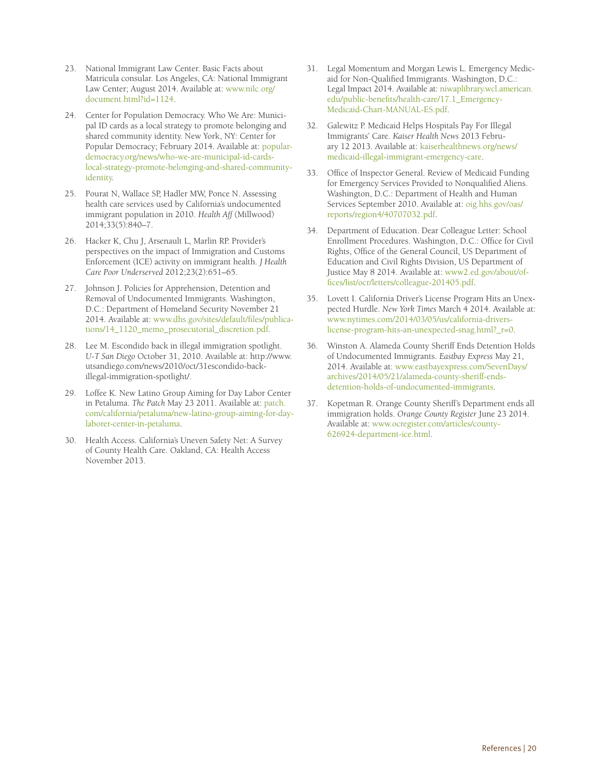- 23. National Immigrant Law Center. Basic Facts about Matricula consular. Los Angeles, CA: National Immigrant Law Center; August 2014. Available at: [www.nilc.org/](http://www.nilc.org/document.html?id=1124) [document.html?id=1124.](http://www.nilc.org/document.html?id=1124)
- 24. Center for Population Democracy. Who We Are: Municipal ID cards as a local strategy to promote belonging and shared community identity. New York, NY: Center for Popular Democracy; February 2014. Available at: [popular](http://populardemocracy.org/news/who-we-are-municipal-id-cards-local-strategy-promote-belonging-and-shared-community-identity)[democracy.org/news/who-we-are-municipal-id-cards](http://populardemocracy.org/news/who-we-are-municipal-id-cards-local-strategy-promote-belonging-and-shared-community-identity)[local-strategy-promote-belonging-and-shared-community](http://populardemocracy.org/news/who-we-are-municipal-id-cards-local-strategy-promote-belonging-and-shared-community-identity)[identity](http://populardemocracy.org/news/who-we-are-municipal-id-cards-local-strategy-promote-belonging-and-shared-community-identity).
- 25. Pourat N, Wallace SP, Hadler MW, Ponce N. Assessing health care services used by California's undocumented immigrant population in 2010. *Health Aff* (Millwood) 2014;33(5):840–7.
- 26. Hacker K, Chu J, Arsenault L, Marlin RP. Provider's perspectives on the impact of Immigration and Customs Enforcement (ICE) activity on immigrant health. *J Health Care Poor Underserved* 2012;23(2):651–65.
- 27. Johnson J. Policies for Apprehension, Detention and Removal of Undocumented Immigrants. Washington, D.C.: Department of Homeland Security November 21 2014. Available at: [www.dhs.gov/sites/default/files/publica](http://www.dhs.gov/sites/default/files/publications/14_1120_memo_prosecutorial_discretion.pdf)[tions/14\\_1120\\_memo\\_prosecutorial\\_discretion.pdf.](http://www.dhs.gov/sites/default/files/publications/14_1120_memo_prosecutorial_discretion.pdf)
- 28. Lee M. Escondido back in illegal immigration spotlight. *U-T San Diego* October 31, 2010. Available at: http://www. utsandiego.com/news/2010/oct/31escondido-backillegal-immigration-spotlight/.
- 29. Loffee K. New Latino Group Aiming for Day Labor Center in Petaluma. *The Patch* May 23 2011. Available at: [patch.](http://patch.com/california/petaluma/new-latino-group-aiming-for-day-laborer-center-in-petaluma) [com/california/petaluma/new-latino-group-aiming-for-day](http://patch.com/california/petaluma/new-latino-group-aiming-for-day-laborer-center-in-petaluma)[laborer-center-in-petaluma](http://patch.com/california/petaluma/new-latino-group-aiming-for-day-laborer-center-in-petaluma).
- 30. Health Access. California's Uneven Safety Net: A Survey of County Health Care. Oakland, CA: Health Access November 2013.
- 31. Legal Momentum and Morgan Lewis L. Emergency Medicaid for Non-Qualified Immigrants. Washington, D.C.: Legal Impact 2014. Available at: [niwaplibrary.wcl.american.](http://niwaplibrary.wcl.american.edu/public-benefits/health-care/17.1_Emergency-Medicaid-Chart-MANUAL-ES.pdf) [edu/public-benefits/health-care/17.1\\_Emergency-](http://niwaplibrary.wcl.american.edu/public-benefits/health-care/17.1_Emergency-Medicaid-Chart-MANUAL-ES.pdf)[Medicaid-Chart-MANUAL-ES.pdf.](http://niwaplibrary.wcl.american.edu/public-benefits/health-care/17.1_Emergency-Medicaid-Chart-MANUAL-ES.pdf)
- 32. Galewitz P. Medicaid Helps Hospitals Pay For Illegal Immigrants' Care. *Kaiser Health News* 2013 February 12 2013. Available at: [kaiserhealthnews.org/news/](http://kaiserhealthnews.org/news/medicaid-illegal-immigrant-emergency-care) [medicaid-illegal-immigrant-emergency-care](http://kaiserhealthnews.org/news/medicaid-illegal-immigrant-emergency-care).
- 33. Office of Inspector General. Review of Medicaid Funding for Emergency Services Provided to Nonqualified Aliens. Washington, D.C.: Department of Health and Human Services September 2010. Available at: [oig.hhs.gov/oas/](http://oig.hhs.gov/oas/reports/region4/40707032.pdf) [reports/region4/40707032.pdf.](http://oig.hhs.gov/oas/reports/region4/40707032.pdf)
- 34. Department of Education. Dear Colleague Letter: School Enrollment Procedures. Washington, D.C.: Office for Civil Rights, Office of the General Council, US Department of Education and Civil Rights Division, US Department of Justice May 8 2014. Available at: [www2.ed.gov/about/of](http://www2.ed.gov/about/offices/list/ocr/letters/colleague-201405.pdf)[fices/list/ocr/letters/colleague-201405.pdf.](http://www2.ed.gov/about/offices/list/ocr/letters/colleague-201405.pdf)
- 35. Lovett I. California Driver's License Program Hits an Unexpected Hurdle. *New York Times* March 4 2014. Available at: [www.nytimes.com/2014/03/05/us/california-drivers](http://www.nytimes.com/2014/03/05/us/california-drivers-license-program-hits-an-unexpected-snag.html?_r=0)[license-program-hits-an-unexpected-snag.html?\\_r=0](http://www.nytimes.com/2014/03/05/us/california-drivers-license-program-hits-an-unexpected-snag.html?_r=0).
- 36. Winston A. Alameda County Sheriff Ends Detention Holds of Undocumented Immigrants. *Eastbay Express* May 21, 2014. Available at: [www.eastbayexpress.com/SevenDays/](http://www.eastbayexpress.com/SevenDays/archives/2014/05/21/alameda-county-sheriff-ends-detention-holds-of-undocumented-immigrants) [archives/2014/05/21/alameda-county-sheriff-ends](http://www.eastbayexpress.com/SevenDays/archives/2014/05/21/alameda-county-sheriff-ends-detention-holds-of-undocumented-immigrants)[detention-holds-of-undocumented-immigrants.](http://www.eastbayexpress.com/SevenDays/archives/2014/05/21/alameda-county-sheriff-ends-detention-holds-of-undocumented-immigrants)
- 37. Kopetman R. Orange County Sheriff's Department ends all immigration holds. *Orange County Register* June 23 2014. Available at: [www.ocregister.com/articles/county-](http://www.ocregister.com/articles/county-626924-department-ice.html)[626924-department-ice.html](http://www.ocregister.com/articles/county-626924-department-ice.html).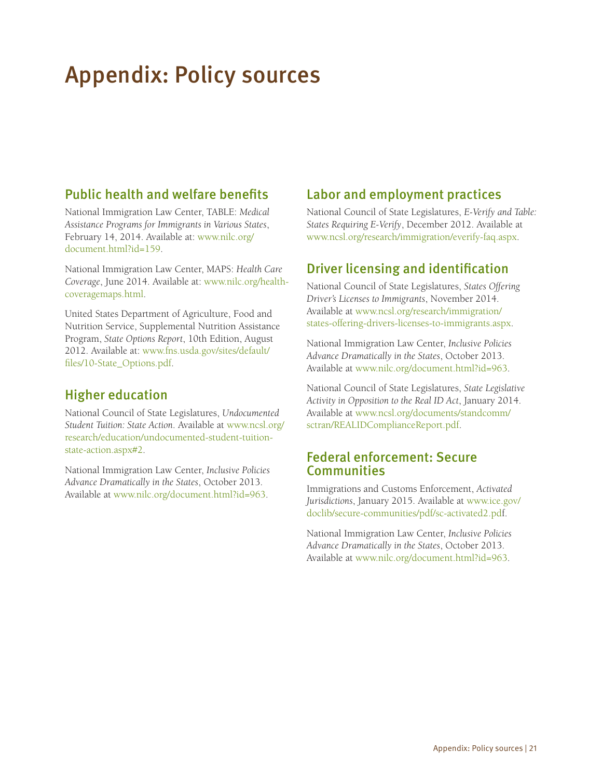# <span id="page-23-0"></span>Appendix: Policy sources

## Public health and welfare benefits

National Immigration Law Center, TABLE: *Medical Assistance Programs for Immigrants in Various States*, February 14, 2014. Available at: [www.nilc.org/](http://www.nilc.org/document.html?id=159) [document.html?id=159](http://www.nilc.org/document.html?id=159).

National Immigration Law Center, MAPS: *Health Care Coverage*, June 2014. Available at: [www.nilc.org/health](http://www.nilc.org/healthcoveragemaps.html)[coveragemaps.html.](http://www.nilc.org/healthcoveragemaps.html)

United States Department of Agriculture, Food and Nutrition Service, Supplemental Nutrition Assistance Program, *State Options Report*, 10th Edition, August 2012. Available at: [www.fns.usda.gov/sites/default/](http://www.fns.usda.gov/sites/default/files/10-State_Options.pdf) [files/10-State\\_Options.pdf](http://www.fns.usda.gov/sites/default/files/10-State_Options.pdf).

## Higher education

National Council of State Legislatures, *Undocumented Student Tuition: State Action*. Available at [www.ncsl.org/](http://www.ncsl.org/research/education/undocumented-student-tuition-state-action.aspx#2) [research/education/undocumented-student-tuition](http://www.ncsl.org/research/education/undocumented-student-tuition-state-action.aspx#2)[state-action.aspx#2](http://www.ncsl.org/research/education/undocumented-student-tuition-state-action.aspx#2).

National Immigration Law Center, *Inclusive Policies Advance Dramatically in the States*, October 2013. Available at [www.nilc.org/document.html?id=963](http://www.nilc.org/document.html?id=963).

## Labor and employment practices

National Council of State Legislatures, *E-Verify and Table: States Requiring E-Verify*, December 2012. Available at [www.ncsl.org/research/immigration/everify-faq.aspx.](http://www.ncsl.org/research/immigration/everify-faq.aspx)

## Driver licensing and identification

National Council of State Legislatures, *States Offering Driver's Licenses to Immigrants*, November 2014. Available at [www.ncsl.org/research/immigration/](http://www.ncsl.org/research/immigration/states-offering-drivers-licenses-to-immigrants.aspx) [states-offering-drivers-licenses-to-immigrants.aspx.](http://www.ncsl.org/research/immigration/states-offering-drivers-licenses-to-immigrants.aspx)

National Immigration Law Center, *Inclusive Policies Advance Dramatically in the States*, October 2013. Available at [www.nilc.org/document.html?id=963](http://www.nilc.org/document.html?id=963).

National Council of State Legislatures, *State Legislative Activity in Opposition to the Real ID Act*, January 2014. Available at [www.ncsl.org/documents/standcomm/](http://www.ncsl.org/documents/standcomm/sctran/REALIDComplianceReport.pdf) [sctran/REALIDComplianceReport.pdf](http://www.ncsl.org/documents/standcomm/sctran/REALIDComplianceReport.pdf).

### Federal enforcement: Secure **Communities**

Immigrations and Customs Enforcement, *Activated Jurisdictions*, January 2015. Available at [www.ice.gov/](http://www.ice.gov/doclib/secure-communities/pdf/sc-activated2.pdf) [doclib/secure-communities/pdf/sc-activated2.pdf](http://www.ice.gov/doclib/secure-communities/pdf/sc-activated2.pdf).

National Immigration Law Center, *Inclusive Policies Advance Dramatically in the States*, October 2013. Available at [www.nilc.org/document.html?id=963](http://www.nilc.org/document.html?id=963).